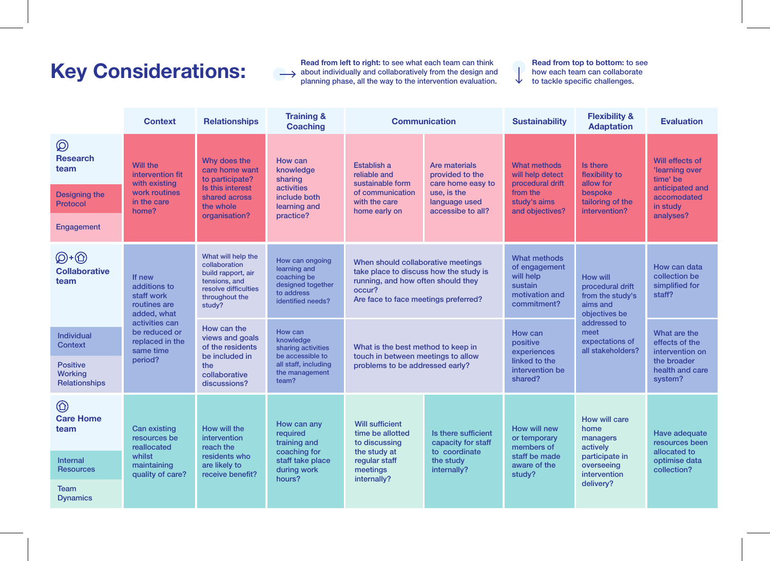**Key Considerations:**<br> **Read from left to right:** to see what each team can think<br>
planning phase, all the way to the intervention evaluation about individually and collaboratively from the design and planning phase, all the way to the intervention evaluation.

**Read from top to bottom:** to see how each team can collaborate

 $\downarrow$ to tackle specific challenges.

|                                                                   | <b>Context</b>                                                                                                                                    | <b>Relationships</b>                                                                                                           | <b>Training &amp;</b><br><b>Coaching</b>                                                                          | <b>Communication</b>                                                                                                                                                 |                                                                                                            | <b>Sustainability</b>                                                                                                                                                          | <b>Flexibility &amp;</b><br><b>Adaptation</b>                                                              | <b>Evaluation</b>                                                                                        |
|-------------------------------------------------------------------|---------------------------------------------------------------------------------------------------------------------------------------------------|--------------------------------------------------------------------------------------------------------------------------------|-------------------------------------------------------------------------------------------------------------------|----------------------------------------------------------------------------------------------------------------------------------------------------------------------|------------------------------------------------------------------------------------------------------------|--------------------------------------------------------------------------------------------------------------------------------------------------------------------------------|------------------------------------------------------------------------------------------------------------|----------------------------------------------------------------------------------------------------------|
| $\circledR$<br><b>Research</b><br>team                            | Will the<br>intervention fit<br>with existing<br>work routines<br>in the care<br>home?                                                            | Why does the<br>care home want<br>to participate?<br>Is this interest<br>shared across<br>the whole<br>organisation?           | How can<br>knowledge<br>sharing<br>activities<br>include both<br>learning and<br>practice?                        | Establish a<br>reliable and<br>sustainable form<br>of communication<br>with the care<br>home early on                                                                | Are materials<br>provided to the<br>care home easy to<br>use, is the<br>language used<br>accessibe to all? | What methods<br>will help detect<br>procedural drift<br>from the<br>study's aims<br>and objectives?                                                                            | Is there<br>flexibility to<br>allow for<br>bespoke<br>tailoring of the<br>intervention?                    | Will effects of<br>'learning over<br>time' be<br>anticipated and<br>accomodated<br>in study<br>analyses? |
| <b>Designing the</b><br>Protocol                                  |                                                                                                                                                   |                                                                                                                                |                                                                                                                   |                                                                                                                                                                      |                                                                                                            |                                                                                                                                                                                |                                                                                                            |                                                                                                          |
| Engagement                                                        |                                                                                                                                                   |                                                                                                                                |                                                                                                                   |                                                                                                                                                                      |                                                                                                            |                                                                                                                                                                                |                                                                                                            |                                                                                                          |
| $\bigcircled{D} + \bigcircled{D}$<br><b>Collaborative</b><br>team | If new<br>additions to<br>staff work<br>routines are<br>added, what<br>activities can<br>be reduced or<br>replaced in the<br>same time<br>period? | What will help the<br>collaboration<br>build rapport, air<br>tensions, and<br>resolve difficulties<br>throughout the<br>study? | How can ongoing<br>learning and<br>coaching be<br>designed together<br>to address<br>identified needs?            | When should collaborative meetings<br>take place to discuss how the study is<br>running, and how often should they<br>occur?<br>Are face to face meetings preferred? |                                                                                                            | What methods<br>of engagement<br>will help<br><b>How will</b><br>sustain<br>procedural drift<br>motivation and<br>from the study's<br>commitment?<br>aims and<br>objectives be |                                                                                                            | How can data<br>collection be<br>simplified for<br>staff?                                                |
| <b>Individual</b><br><b>Context</b>                               |                                                                                                                                                   | How can the<br>views and goals<br>of the residents<br>be included in<br>the<br>collaborative<br>discussions?                   | How can<br>knowledge<br>sharing activities<br>be accessible to<br>all staff, including<br>the management<br>team? | What is the best method to keep in<br>touch in between meetings to allow<br>problems to be addressed early?                                                          |                                                                                                            | How can<br>positive<br>experiences<br>linked to the<br>intervention be<br>shared?                                                                                              | addressed to<br>meet<br>expectations of<br>all stakeholders?                                               | What are the<br>effects of the<br>intervention on<br>the broader<br>health and care<br>system?           |
| <b>Positive</b><br>Working<br>Relationships                       |                                                                                                                                                   |                                                                                                                                |                                                                                                                   |                                                                                                                                                                      |                                                                                                            |                                                                                                                                                                                |                                                                                                            |                                                                                                          |
| $\circledcirc$<br><b>Care Home</b><br>team                        | <b>Can existing</b><br>resources be<br>reallocated<br>whilst<br>maintaining<br>quality of care?                                                   | How will the<br>intervention<br>reach the<br>residents who<br>are likely to<br>receive benefit?                                | How can any<br>required<br>training and<br>coaching for<br>staff take place<br>during work<br>hours?              | <b>Will sufficient</b><br>time be allotted<br>to discussing<br>the study at<br>regular staff<br>meetings<br>internally?                                              | Is there sufficient<br>capacity for staff<br>to coordinate<br>the study<br>internally?                     | How will new<br>or temporary<br>members of<br>staff be made<br>aware of the<br>study?                                                                                          | How will care<br>home<br>managers<br>actively<br>participate in<br>overseeing<br>intervention<br>delivery? | Have adequate<br>resources been<br>allocated to<br>optimise data<br>collection?                          |
| <b>Internal</b><br><b>Resources</b>                               |                                                                                                                                                   |                                                                                                                                |                                                                                                                   |                                                                                                                                                                      |                                                                                                            |                                                                                                                                                                                |                                                                                                            |                                                                                                          |
| Team<br><b>Dynamics</b>                                           |                                                                                                                                                   |                                                                                                                                |                                                                                                                   |                                                                                                                                                                      |                                                                                                            |                                                                                                                                                                                |                                                                                                            |                                                                                                          |